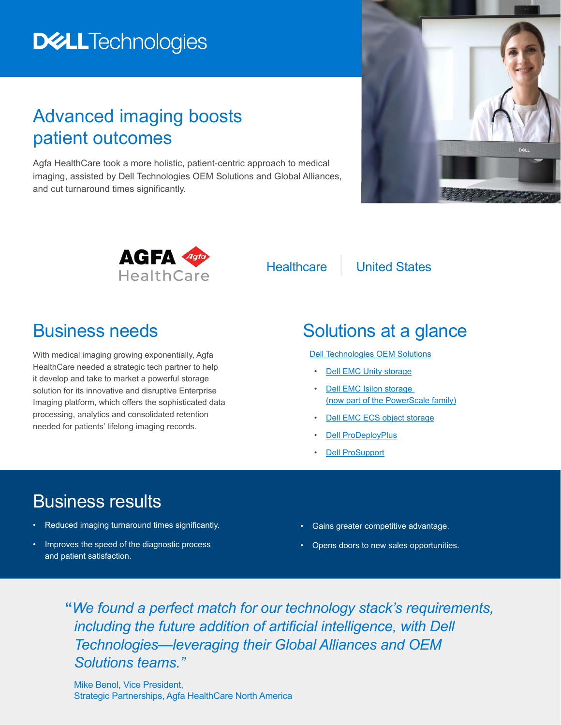# **DELLTechnologies**

## Advanced imaging boosts patient outcomes

Agfa HealthCare took a more holistic, patient-centric approach to medical imaging, assisted by Dell Technologies OEM Solutions and Global Alliances, and cut turnaround times significantly.





Healthcare | United States

#### Business needs

With medical imaging growing exponentially, Agfa HealthCare needed a strategic tech partner to help it develop and take to market a powerful storage solution for its innovative and disruptive Enterprise Imaging platform, which offers the sophisticated data processing, analytics and consolidated retention needed for patients' lifelong imaging records.

## Solutions at a glance

[Dell Technologies OEM Solutions](https://www.delltechnologies.com/en-us/design-solutions/index.htm)

- [Dell EMC Unity storage](https://www.delltechnologies.com/en-us/storage/unity/unity-400-hybrid-flash-storage.htm)
- **Dell EMC Isilon storage** [\(now part of the PowerScale family\)](https://www.delltechnologies.com/en-us/storage/isilon/isilon-h400-hybrid-nas-storage.htm)
- [Dell EMC ECS object storage](https://www.delltechnologies.com/en-us/storage/ecs/index.htm#accordion0)
- [Dell ProDeployPlus](https://www.dell.com/learn/us/en/vn/legal_docs/prodeploy-plus-for-enterprise-sd-en.pdf)
- **[Dell ProSupport](https://www.dell.com/learn/ai/en/aibsdt1/shared-content_services_dellgrmwebpage/support-services-prosupport)**

### Business results

- Reduced imaging turnaround times significantly.
- Improves the speed of the diagnostic process and patient satisfaction.
- Gains greater competitive advantage.
- Opens doors to new sales opportunities.

**"***We found a perfect match for our technology stack's requirements, including the future addition of artificial intelligence, with Dell Technologies—leveraging their Global Alliances and OEM Solutions teams."*

Mike Benol, Vice President, Strategic Partnerships, Agfa HealthCare North America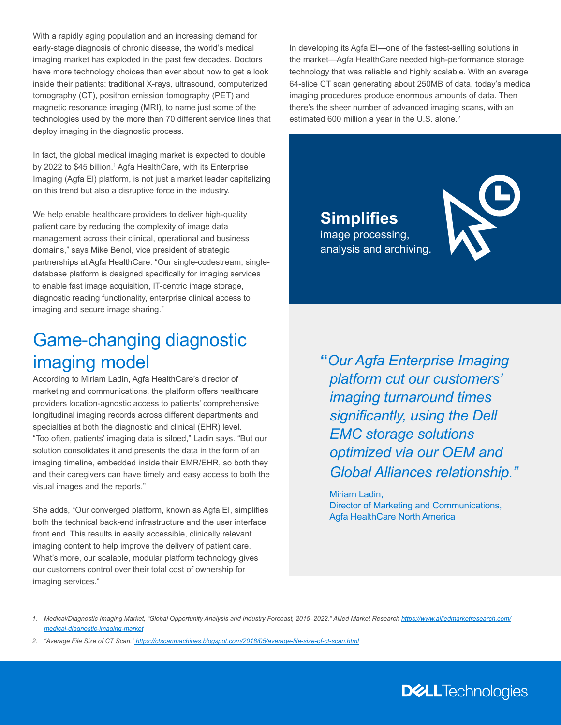With a rapidly aging population and an increasing demand for early-stage diagnosis of chronic disease, the world's medical imaging market has exploded in the past few decades. Doctors have more technology choices than ever about how to get a look inside their patients: traditional X-rays, ultrasound, computerized tomography (CT), positron emission tomography (PET) and magnetic resonance imaging (MRI), to name just some of the technologies used by the more than 70 different service lines that deploy imaging in the diagnostic process.

In fact, the global medical imaging market is expected to double by 2022 to \$45 billion.<sup>1</sup> Agfa HealthCare, with its Enterprise Imaging (Agfa El) platform, is not just a market leader capitalizing on this trend but also a disruptive force in the industry.

We help enable healthcare providers to deliver high-quality patient care by reducing the complexity of image data management across their clinical, operational and business domains," says Mike Benol, vice president of strategic partnerships at Agfa HealthCare. "Our single-codestream, singledatabase platform is designed specifically for imaging services to enable fast image acquisition, IT-centric image storage, diagnostic reading functionality, enterprise clinical access to imaging and secure image sharing."

### Game-changing diagnostic imaging model

According to Miriam Ladin, Agfa HealthCare's director of marketing and communications, the platform offers healthcare providers location-agnostic access to patients' comprehensive longitudinal imaging records across different departments and specialties at both the diagnostic and clinical (EHR) level. "Too often, patients' imaging data is siloed," Ladin says. "But our solution consolidates it and presents the data in the form of an imaging timeline, embedded inside their EMR/EHR, so both they and their caregivers can have timely and easy access to both the visual images and the reports."

She adds, "Our converged platform, known as Agfa EI, simplifies both the technical back-end infrastructure and the user interface front end. This results in easily accessible, clinically relevant imaging content to help improve the delivery of patient care. What's more, our scalable, modular platform technology gives our customers control over their total cost of ownership for imaging services."

In developing its Agfa EI—one of the fastest-selling solutions in the market—Agfa HealthCare needed high-performance storage technology that was reliable and highly scalable. With an average 64-slice CT scan generating about 250MB of data, today's medical imaging procedures produce enormous amounts of data. Then there's the sheer number of advanced imaging scans, with an estimated 600 million a year in the U.S. alone.<sup>2</sup>

> **Simplifies** image processing, analysis and archiving.



**"***Our Agfa Enterprise Imaging platform cut our customers' imaging turnaround times significantly, using the Dell EMC storage solutions optimized via our OEM and Global Alliances relationship."*

Miriam Ladin, Director of Marketing and Communications, Agfa HealthCare North America

- *1. Medical/Diagnostic Imaging Market, "Global Opportunity Analysis and Industry Forecast, 2015–2022." Allied Market Research [https://www.alliedmarketresearch.com/](https://www.alliedmarketresearch.com/medical-diagnostic-imaging-market) [medical-diagnostic-imaging-market](https://www.alliedmarketresearch.com/medical-diagnostic-imaging-market)*
- *2. "Average File Size of CT Scan."<https://ctscanmachines.blogspot.com/2018/05/average-file-size-of-ct-scan.html>*

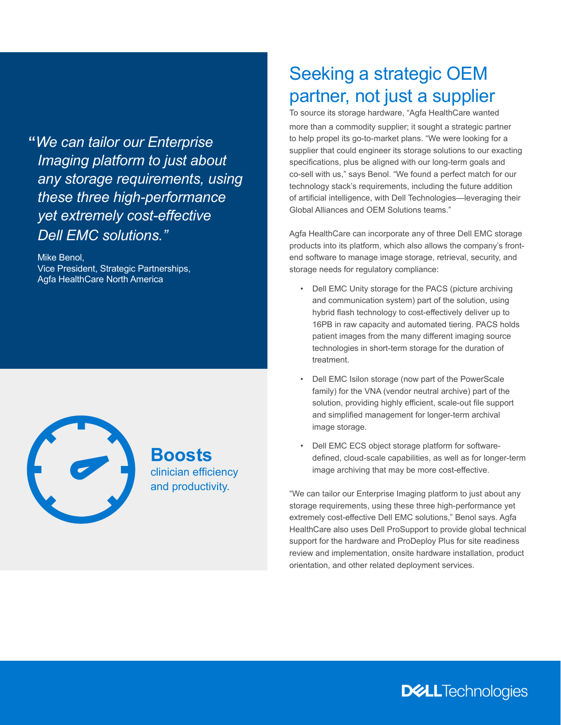**"***We can tailor our Enterprise Imaging platform to just about any storage requirements, using these three high-performance yet extremely cost-effective Dell EMC solutions."* 

Mike Benol, Vice President, Strategic Partnerships, Agfa HealthCare North America



**Boosts** clinician efficiency and productivity.

## Seeking a strategic OEM partner, not just a supplier

To source its storage hardware, "Agfa HealthCare wanted more than a commodity supplier; it sought a strategic partner to help propel its go-to-market plans. "We were looking for a supplier that could engineer its storage solutions to our exacting specifications, plus be aligned with our long-term goals and co-sell with us," says Benol. "We found a perfect match for our technology stack's requirements, including the future addition of artificial intelligence, with Dell Technologies—leveraging their Global Alliances and OEM Solutions teams."

Agfa HealthCare can incorporate any of three Dell EMC storage products into its platform, which also allows the company's frontend software to manage image storage, retrieval, security, and storage needs for regulatory compliance:

- Dell EMC Unity storage for the PACS (picture archiving and communication system) part of the solution, using hybrid flash technology to cost-effectively deliver up to 16PB in raw capacity and automated tiering. PACS holds patient images from the many different imaging source technologies in short-term storage for the duration of treatment.
- Dell EMC Isilon storage (now part of the PowerScale family) for the VNA (vendor neutral archive) part of the solution, providing highly efficient, scale-out file support and simplified management for longer-term archival image storage.
- Dell EMC ECS object storage platform for softwaredefined, cloud-scale capabilities, as well as for longer-term image archiving that may be more cost-effective.

"We can tailor our Enterprise Imaging platform to just about any storage requirements, using these three high-performance yet extremely cost-effective Dell EMC solutions," Benol says. Agfa HealthCare also uses Dell ProSupport to provide global technical support for the hardware and ProDeploy Plus for site readiness review and implementation, onsite hardware installation, product orientation, and other related deployment services.

**DELL**Technologies